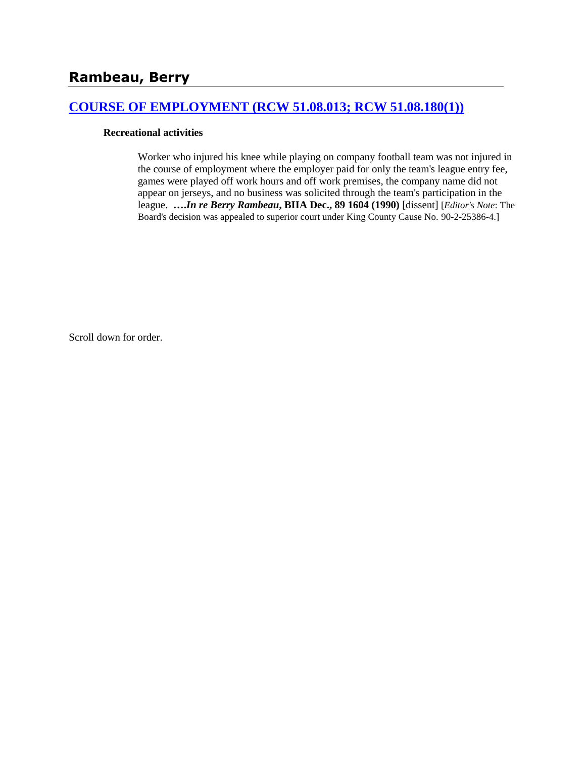## **[COURSE OF EMPLOYMENT \(RCW 51.08.013; RCW 51.08.180\(1\)\)](http://www.biia.wa.gov/SDSubjectIndex.html#COURSE_OF_EMPLOYMENT)**

#### **Recreational activities**

Worker who injured his knee while playing on company football team was not injured in the course of employment where the employer paid for only the team's league entry fee, games were played off work hours and off work premises, the company name did not appear on jerseys, and no business was solicited through the team's participation in the league. **….***In re Berry Rambeau***, BIIA Dec., 89 1604 (1990)** [dissent] [*Editor's Note*: The Board's decision was appealed to superior court under King County Cause No. 90-2-25386-4.]

Scroll down for order.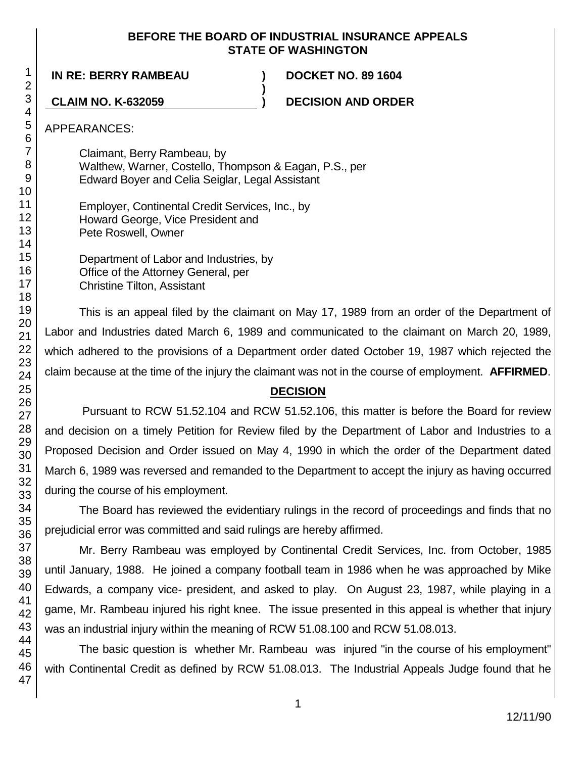### **BEFORE THE BOARD OF INDUSTRIAL INSURANCE APPEALS STATE OF WASHINGTON**

**)**

**IN RE: BERRY RAMBEAU ) DOCKET NO. 89 1604**

**CLAIM NO. K-632059 ) DECISION AND ORDER**

APPEARANCES:

Claimant, Berry Rambeau, by Walthew, Warner, Costello, Thompson & Eagan, P.S., per Edward Boyer and Celia Seiglar, Legal Assistant

Employer, Continental Credit Services, Inc., by Howard George, Vice President and Pete Roswell, Owner

Department of Labor and Industries, by Office of the Attorney General, per Christine Tilton, Assistant

This is an appeal filed by the claimant on May 17, 1989 from an order of the Department of Labor and Industries dated March 6, 1989 and communicated to the claimant on March 20, 1989, which adhered to the provisions of a Department order dated October 19, 1987 which rejected the claim because at the time of the injury the claimant was not in the course of employment. **AFFIRMED**.

# **DECISION**

Pursuant to RCW 51.52.104 and RCW 51.52.106, this matter is before the Board for review and decision on a timely Petition for Review filed by the Department of Labor and Industries to a Proposed Decision and Order issued on May 4, 1990 in which the order of the Department dated March 6, 1989 was reversed and remanded to the Department to accept the injury as having occurred during the course of his employment.

The Board has reviewed the evidentiary rulings in the record of proceedings and finds that no prejudicial error was committed and said rulings are hereby affirmed.

Mr. Berry Rambeau was employed by Continental Credit Services, Inc. from October, 1985 until January, 1988. He joined a company football team in 1986 when he was approached by Mike Edwards, a company vice- president, and asked to play. On August 23, 1987, while playing in a game, Mr. Rambeau injured his right knee. The issue presented in this appeal is whether that injury was an industrial injury within the meaning of RCW 51.08.100 and RCW 51.08.013.

The basic question is whether Mr. Rambeau was injured "in the course of his employment" with Continental Credit as defined by RCW 51.08.013. The Industrial Appeals Judge found that he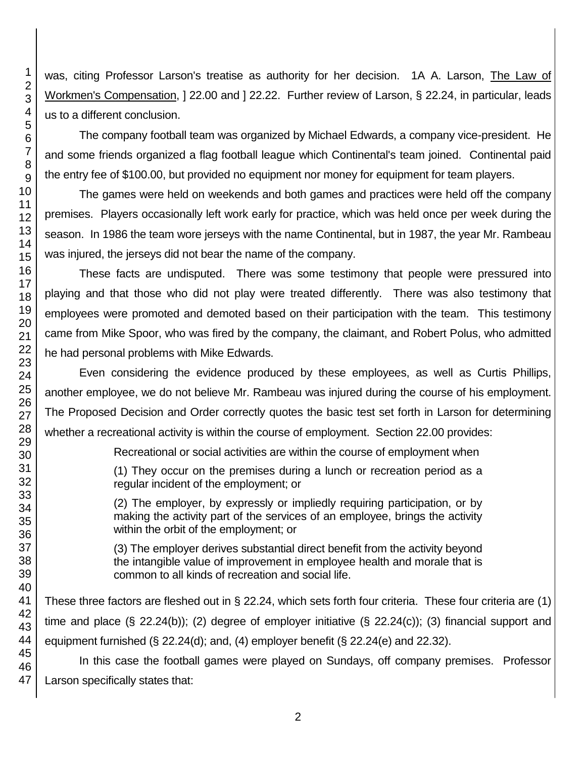1 2 was, citing Professor Larson's treatise as authority for her decision. 1A A. Larson, The Law of Workmen's Compensation, 1 22.00 and 1 22.22. Further review of Larson, § 22.24, in particular, leads us to a different conclusion.

The company football team was organized by Michael Edwards, a company vice-president. He and some friends organized a flag football league which Continental's team joined. Continental paid the entry fee of \$100.00, but provided no equipment nor money for equipment for team players.

The games were held on weekends and both games and practices were held off the company premises. Players occasionally left work early for practice, which was held once per week during the season. In 1986 the team wore jerseys with the name Continental, but in 1987, the year Mr. Rambeau was injured, the jerseys did not bear the name of the company.

These facts are undisputed. There was some testimony that people were pressured into playing and that those who did not play were treated differently. There was also testimony that employees were promoted and demoted based on their participation with the team. This testimony came from Mike Spoor, who was fired by the company, the claimant, and Robert Polus, who admitted he had personal problems with Mike Edwards.

Even considering the evidence produced by these employees, as well as Curtis Phillips, another employee, we do not believe Mr. Rambeau was injured during the course of his employment. The Proposed Decision and Order correctly quotes the basic test set forth in Larson for determining whether a recreational activity is within the course of employment. Section 22.00 provides:

Recreational or social activities are within the course of employment when

(1) They occur on the premises during a lunch or recreation period as a regular incident of the employment; or

(2) The employer, by expressly or impliedly requiring participation, or by making the activity part of the services of an employee, brings the activity within the orbit of the employment; or

(3) The employer derives substantial direct benefit from the activity beyond the intangible value of improvement in employee health and morale that is common to all kinds of recreation and social life.

These three factors are fleshed out in § 22.24, which sets forth four criteria. These four criteria are (1) time and place (§ 22.24(b)); (2) degree of employer initiative (§ 22.24(c)); (3) financial support and equipment furnished (§ 22.24(d); and, (4) employer benefit (§ 22.24(e) and 22.32).

45 46 47 In this case the football games were played on Sundays, off company premises. Professor Larson specifically states that: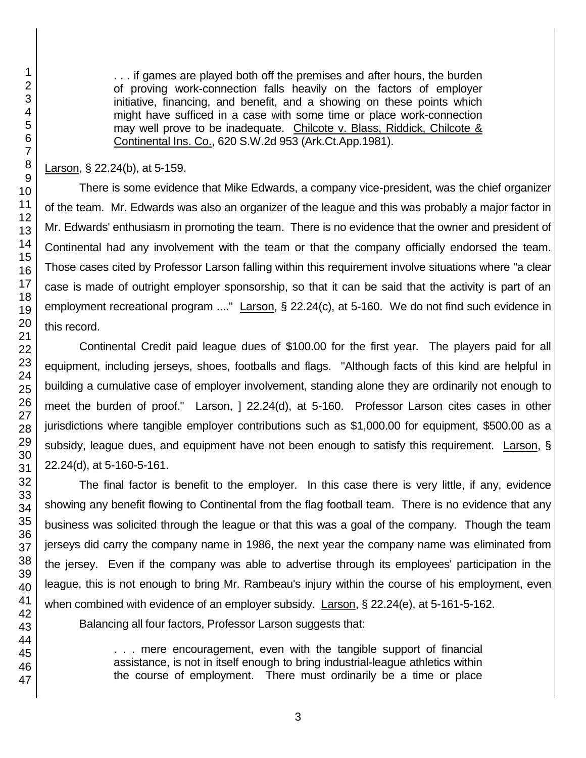1

. . . if games are played both off the premises and after hours, the burden of proving work-connection falls heavily on the factors of employer initiative, financing, and benefit, and a showing on these points which might have sufficed in a case with some time or place work-connection may well prove to be inadequate. Chilcote v. Blass, Riddick, Chilcote & Continental Ins. Co., 620 S.W.2d 953 (Ark.Ct.App.1981).

Larson, § 22.24(b), at 5-159.

There is some evidence that Mike Edwards, a company vice-president, was the chief organizer of the team. Mr. Edwards was also an organizer of the league and this was probably a major factor in Mr. Edwards' enthusiasm in promoting the team. There is no evidence that the owner and president of Continental had any involvement with the team or that the company officially endorsed the team. Those cases cited by Professor Larson falling within this requirement involve situations where "a clear case is made of outright employer sponsorship, so that it can be said that the activity is part of an employment recreational program ...." Larson, § 22.24(c), at 5-160. We do not find such evidence in this record.

Continental Credit paid league dues of \$100.00 for the first year. The players paid for all equipment, including jerseys, shoes, footballs and flags. "Although facts of this kind are helpful in building a cumulative case of employer involvement, standing alone they are ordinarily not enough to meet the burden of proof." Larson, 1 22.24(d), at 5-160. Professor Larson cites cases in other jurisdictions where tangible employer contributions such as \$1,000.00 for equipment, \$500.00 as a subsidy, league dues, and equipment have not been enough to satisfy this requirement. Larson, § 22.24(d), at 5-160-5-161.

The final factor is benefit to the employer. In this case there is very little, if any, evidence showing any benefit flowing to Continental from the flag football team. There is no evidence that any business was solicited through the league or that this was a goal of the company. Though the team jerseys did carry the company name in 1986, the next year the company name was eliminated from the jersey. Even if the company was able to advertise through its employees' participation in the league, this is not enough to bring Mr. Rambeau's injury within the course of his employment, even when combined with evidence of an employer subsidy. Larson, § 22.24(e), at 5-161-5-162.

Balancing all four factors, Professor Larson suggests that:

. . . mere encouragement, even with the tangible support of financial assistance, is not in itself enough to bring industrial-league athletics within the course of employment. There must ordinarily be a time or place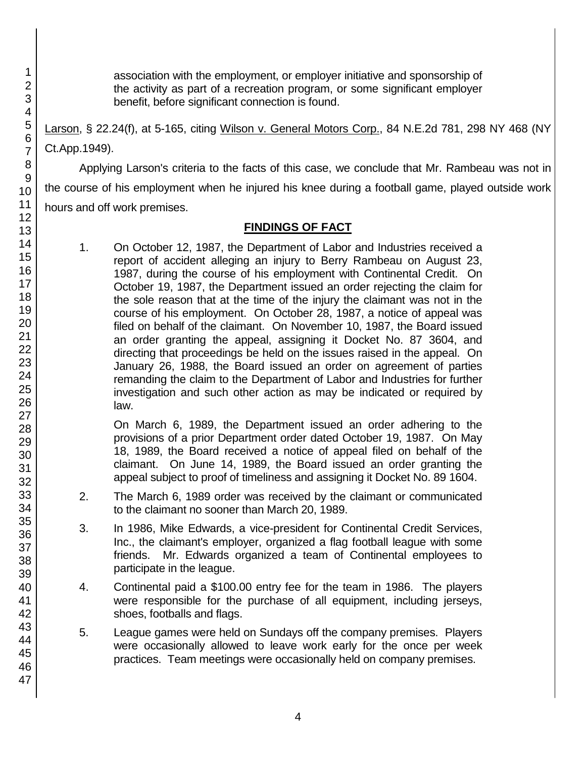association with the employment, or employer initiative and sponsorship of the activity as part of a recreation program, or some significant employer benefit, before significant connection is found.

Larson, § 22.24(f), at 5-165, citing Wilson v. General Motors Corp., 84 N.E.2d 781, 298 NY 468 (NY Ct.App.1949).

Applying Larson's criteria to the facts of this case, we conclude that Mr. Rambeau was not in the course of his employment when he injured his knee during a football game, played outside work hours and off work premises.

## **FINDINGS OF FACT**

1. On October 12, 1987, the Department of Labor and Industries received a report of accident alleging an injury to Berry Rambeau on August 23, 1987, during the course of his employment with Continental Credit. On October 19, 1987, the Department issued an order rejecting the claim for the sole reason that at the time of the injury the claimant was not in the course of his employment. On October 28, 1987, a notice of appeal was filed on behalf of the claimant. On November 10, 1987, the Board issued an order granting the appeal, assigning it Docket No. 87 3604, and directing that proceedings be held on the issues raised in the appeal. On January 26, 1988, the Board issued an order on agreement of parties remanding the claim to the Department of Labor and Industries for further investigation and such other action as may be indicated or required by law.

On March 6, 1989, the Department issued an order adhering to the provisions of a prior Department order dated October 19, 1987. On May 18, 1989, the Board received a notice of appeal filed on behalf of the claimant. On June 14, 1989, the Board issued an order granting the appeal subject to proof of timeliness and assigning it Docket No. 89 1604.

- 2. The March 6, 1989 order was received by the claimant or communicated to the claimant no sooner than March 20, 1989.
- 3. In 1986, Mike Edwards, a vice-president for Continental Credit Services, Inc., the claimant's employer, organized a flag football league with some friends. Mr. Edwards organized a team of Continental employees to participate in the league.
- 4. Continental paid a \$100.00 entry fee for the team in 1986. The players were responsible for the purchase of all equipment, including jerseys, shoes, footballs and flags.
- 5. League games were held on Sundays off the company premises. Players were occasionally allowed to leave work early for the once per week practices. Team meetings were occasionally held on company premises.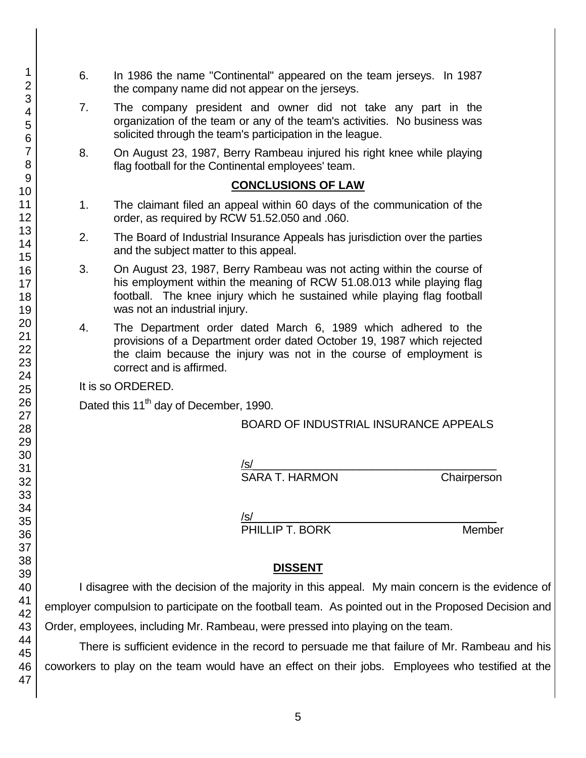- 6. In 1986 the name "Continental" appeared on the team jerseys. In 1987 the company name did not appear on the jerseys.
- 7. The company president and owner did not take any part in the organization of the team or any of the team's activities. No business was solicited through the team's participation in the league.
- 8. On August 23, 1987, Berry Rambeau injured his right knee while playing flag football for the Continental employees' team.

### **CONCLUSIONS OF LAW**

- 1. The claimant filed an appeal within 60 days of the communication of the order, as required by RCW 51.52.050 and .060.
- 2. The Board of Industrial Insurance Appeals has jurisdiction over the parties and the subject matter to this appeal.
- 3. On August 23, 1987, Berry Rambeau was not acting within the course of his employment within the meaning of RCW 51.08.013 while playing flag football. The knee injury which he sustained while playing flag football was not an industrial injury.
- 4. The Department order dated March 6, 1989 which adhered to the provisions of a Department order dated October 19, 1987 which rejected the claim because the injury was not in the course of employment is correct and is affirmed.

It is so ORDERED.

Dated this 11<sup>th</sup> day of December, 1990.

## BOARD OF INDUSTRIAL INSURANCE APPEALS

/s/  $\,$ 

SARA T. HARMON Chairperson

/s/  $\,$ PHILLIP T. BORK Member

## **DISSENT**

I disagree with the decision of the majority in this appeal. My main concern is the evidence of employer compulsion to participate on the football team. As pointed out in the Proposed Decision and Order, employees, including Mr. Rambeau, were pressed into playing on the team.

There is sufficient evidence in the record to persuade me that failure of Mr. Rambeau and his coworkers to play on the team would have an effect on their jobs. Employees who testified at the